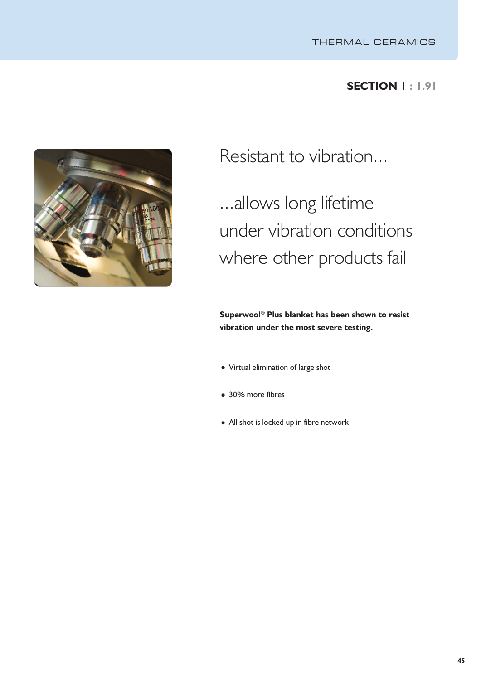## **SECTION 1 : 1.91**



Resistant to vibration...

...allows long lifetime under vibration conditions where other products fail

**Superwool ® Plus blanket has been shown to resist vibration under the most severe testing.**

- Virtual elimination of large shot
- 30% more fibres
- All shot is locked up in fibre network